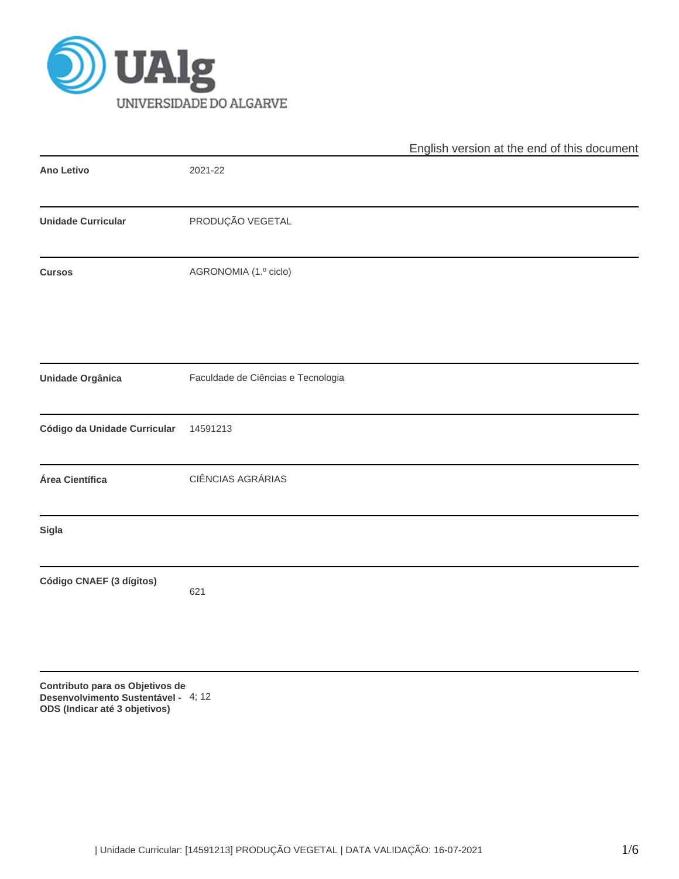

|                              |                                    | English version at the end of this document |  |  |  |  |
|------------------------------|------------------------------------|---------------------------------------------|--|--|--|--|
| Ano Letivo                   | 2021-22                            |                                             |  |  |  |  |
| <b>Unidade Curricular</b>    | PRODUÇÃO VEGETAL                   |                                             |  |  |  |  |
| <b>Cursos</b>                | AGRONOMIA (1.º ciclo)              |                                             |  |  |  |  |
| Unidade Orgânica             | Faculdade de Ciências e Tecnologia |                                             |  |  |  |  |
| Código da Unidade Curricular | 14591213                           |                                             |  |  |  |  |
| Área Científica              | CIÊNCIAS AGRÁRIAS                  |                                             |  |  |  |  |
| Sigla                        |                                    |                                             |  |  |  |  |
| Código CNAEF (3 dígitos)     | 621                                |                                             |  |  |  |  |
|                              |                                    |                                             |  |  |  |  |

**Contributo para os Objetivos de Desenvolvimento Sustentável - ODS (Indicar até 3 objetivos)** 4; 12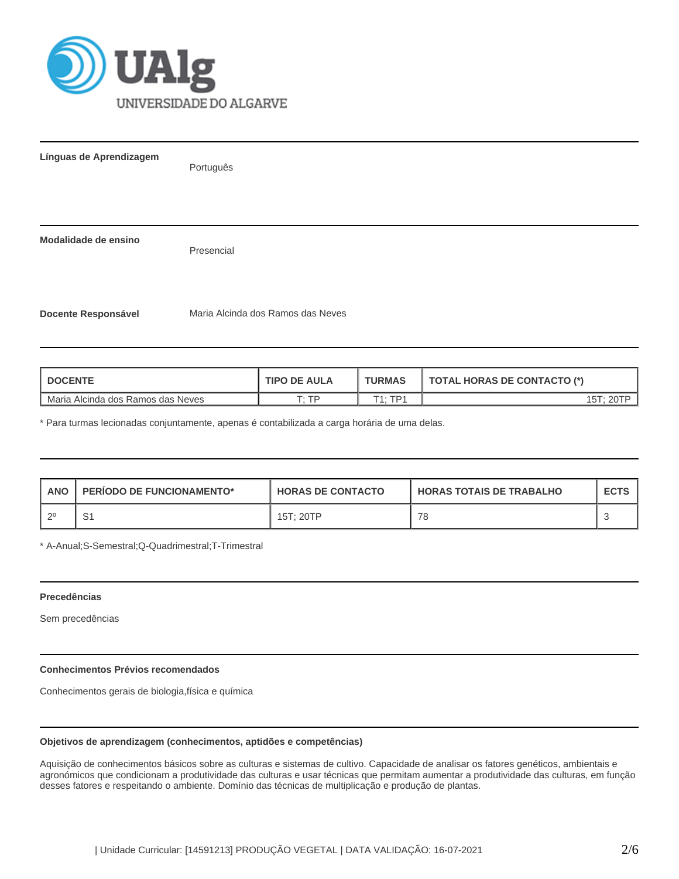

**Línguas de Aprendizagem** Português **Modalidade de ensino** Presencial **Docente Responsável** Maria Alcinda dos Ramos das Neves

| <b>DOCENTE</b>                    | <b>TIPO DE AULA</b> | <b>TURMAS</b> | <b>TOTAL HORAS DE CONTACTO (*)</b> |
|-----------------------------------|---------------------|---------------|------------------------------------|
| Maria Alcinda dos Ramos das Neves | סד ּד               | エィ・エロィ        |                                    |

\* Para turmas lecionadas conjuntamente, apenas é contabilizada a carga horária de uma delas.

| <b>ANO</b> | <b>PERIODO DE FUNCIONAMENTO*</b> | <b>HORAS DE CONTACTO</b> | <b>I HORAS TOTAIS DE TRABALHO</b> | <b>ECTS</b> |
|------------|----------------------------------|--------------------------|-----------------------------------|-------------|
| ാ          | ا ب                              | 15T: 20TP                | 78                                |             |

\* A-Anual;S-Semestral;Q-Quadrimestral;T-Trimestral

# **Precedências**

Sem precedências

# **Conhecimentos Prévios recomendados**

Conhecimentos gerais de biologia,física e química

# **Objetivos de aprendizagem (conhecimentos, aptidões e competências)**

Aquisição de conhecimentos básicos sobre as culturas e sistemas de cultivo. Capacidade de analisar os fatores genéticos, ambientais e agronómicos que condicionam a produtividade das culturas e usar técnicas que permitam aumentar a produtividade das culturas, em função desses fatores e respeitando o ambiente. Domínio das técnicas de multiplicação e produção de plantas.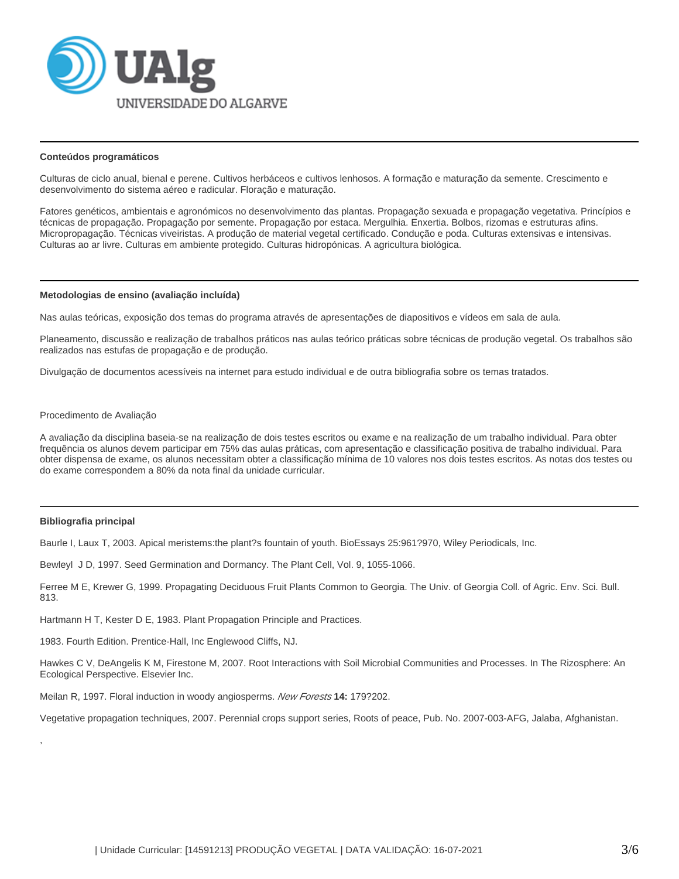

### **Conteúdos programáticos**

Culturas de ciclo anual, bienal e perene. Cultivos herbáceos e cultivos lenhosos. A formação e maturação da semente. Crescimento e desenvolvimento do sistema aéreo e radicular. Floração e maturação.

Fatores genéticos, ambientais e agronómicos no desenvolvimento das plantas. Propagação sexuada e propagação vegetativa. Princípios e técnicas de propagação. Propagação por semente. Propagação por estaca. Mergulhia. Enxertia. Bolbos, rizomas e estruturas afins. Micropropagação. Técnicas viveiristas. A produção de material vegetal certificado. Condução e poda. Culturas extensivas e intensivas. Culturas ao ar livre. Culturas em ambiente protegido. Culturas hidropónicas. A agricultura biológica.

#### **Metodologias de ensino (avaliação incluída)**

Nas aulas teóricas, exposição dos temas do programa através de apresentações de diapositivos e vídeos em sala de aula.

Planeamento, discussão e realização de trabalhos práticos nas aulas teórico práticas sobre técnicas de produção vegetal. Os trabalhos são realizados nas estufas de propagação e de produção.

Divulgação de documentos acessíveis na internet para estudo individual e de outra bibliografia sobre os temas tratados.

#### Procedimento de Avaliação

A avaliação da disciplina baseia-se na realização de dois testes escritos ou exame e na realização de um trabalho individual. Para obter frequência os alunos devem participar em 75% das aulas práticas, com apresentação e classificação positiva de trabalho individual. Para obter dispensa de exame, os alunos necessitam obter a classificação mínima de 10 valores nos dois testes escritos. As notas dos testes ou do exame correspondem a 80% da nota final da unidade curricular.

# **Bibliografia principal**

,

Baurle I, Laux T, 2003. Apical meristems:the plant?s fountain of youth. BioEssays 25:961?970, Wiley Periodicals, Inc.

Bewleyl J D, 1997. Seed Germination and Dormancy. The Plant Cell, Vol. 9, 1055-1066.

Ferree M E, Krewer G, 1999. Propagating Deciduous Fruit Plants Common to Georgia. The Univ. of Georgia Coll. of Agric. Env. Sci. Bull. 813.

Hartmann H T, Kester D E, 1983. Plant Propagation Principle and Practices.

1983. Fourth Edition. Prentice-Hall, Inc Englewood Cliffs, NJ.

Hawkes C V, DeAngelis K M, Firestone M, 2007. Root Interactions with Soil Microbial Communities and Processes. In The Rizosphere: An Ecological Perspective. Elsevier Inc.

Meilan R, 1997. Floral induction in woody angiosperms. New Forests **14:** 179?202.

Vegetative propagation techniques, 2007. Perennial crops support series, Roots of peace, Pub. No. 2007-003-AFG, Jalaba, Afghanistan.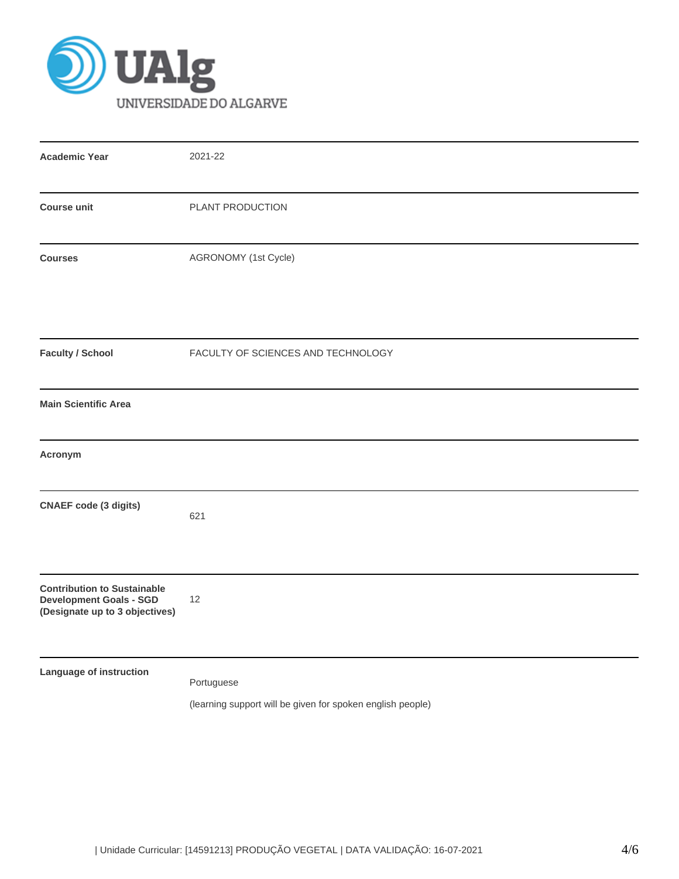

| <b>Academic Year</b>                                                                                   | 2021-22                                                                  |
|--------------------------------------------------------------------------------------------------------|--------------------------------------------------------------------------|
| <b>Course unit</b>                                                                                     | PLANT PRODUCTION                                                         |
| <b>Courses</b>                                                                                         | AGRONOMY (1st Cycle)                                                     |
| <b>Faculty / School</b>                                                                                | FACULTY OF SCIENCES AND TECHNOLOGY                                       |
| <b>Main Scientific Area</b>                                                                            |                                                                          |
| Acronym                                                                                                |                                                                          |
| <b>CNAEF code (3 digits)</b>                                                                           | 621                                                                      |
| <b>Contribution to Sustainable</b><br><b>Development Goals - SGD</b><br>(Designate up to 3 objectives) | 12                                                                       |
| Language of instruction                                                                                | Portuguese<br>(learning support will be given for spoken english people) |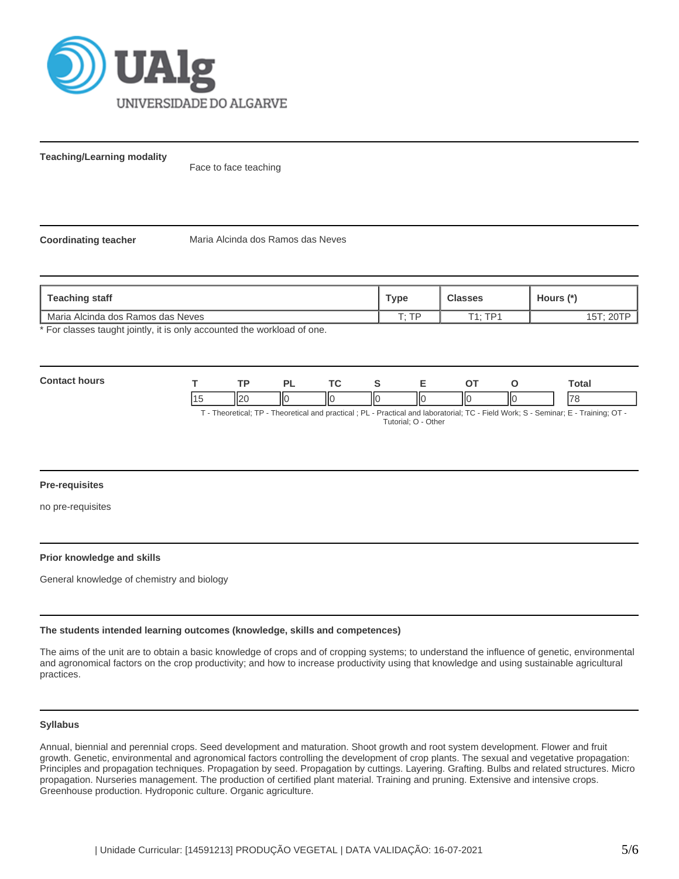

**Teaching/Learning modality**

Face to face teaching

**Coordinating teacher** Maria Alcinda dos Ramos das Neves

| Teaching staff                                                                                      | Type         | <b>Classes</b> | Hours (*) |
|-----------------------------------------------------------------------------------------------------|--------------|----------------|-----------|
| Maria Alcinda dos Ramos das Neves                                                                   | $T \cdot TD$ | $T1 \cdot TD1$ |           |
| ◆    Louis Louis Louis La Martial → Martial → Louis Louis Louis Julia → Louis Julia → Julia → Louis |              |                |           |

For classes taught jointly, it is only accounted the workload of one.

| Con<br>hours |                | гπ                 | D.  | $\sim$ |      |    |    | -<br>Гоtal               |
|--------------|----------------|--------------------|-----|--------|------|----|----|--------------------------|
|              | $\overline{A}$ | $\mathsf{In}$<br>┅ | IІC | IІC    | -lic | IЮ | ШC | $\overline{\phantom{a}}$ |

T - Theoretical; TP - Theoretical and practical ; PL - Practical and laboratorial; TC - Field Work; S - Seminar; E - Training; OT - Tutorial; O - Other

### **Pre-requisites**

no pre-requisites

# **Prior knowledge and skills**

General knowledge of chemistry and biology

### **The students intended learning outcomes (knowledge, skills and competences)**

The aims of the unit are to obtain a basic knowledge of crops and of cropping systems; to understand the influence of genetic, environmental and agronomical factors on the crop productivity; and how to increase productivity using that knowledge and using sustainable agricultural practices.

# **Syllabus**

Annual, biennial and perennial crops. Seed development and maturation. Shoot growth and root system development. Flower and fruit growth. Genetic, environmental and agronomical factors controlling the development of crop plants. The sexual and vegetative propagation: Principles and propagation techniques. Propagation by seed. Propagation by cuttings. Layering. Grafting. Bulbs and related structures. Micro propagation. Nurseries management. The production of certified plant material. Training and pruning. Extensive and intensive crops. Greenhouse production. Hydroponic culture. Organic agriculture.